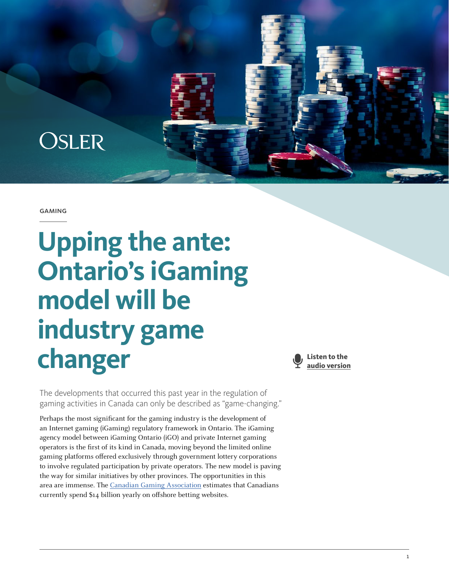

#### gaming

# **Upping the ante: Ontario's iGaming model will be industry game changer**



The developments that occurred this past year in the regulation of gaming activities in Canada can only be described as "game-changing."

Perhaps the most significant for the gaming industry is the development of an Internet gaming (iGaming) regulatory framework in Ontario. The iGaming agency model between iGaming Ontario (iGO) and private Internet gaming operators is the first of its kind in Canada, moving beyond the limited online gaming platforms offered exclusively through government lottery corporations to involve regulated participation by private operators. The new model is paving the way for similar initiatives by other provinces. The opportunities in this area are immense. The [Canadian Gaming Association](http://canadiangaming.ca/2120-2/) estimates that Canadians currently spend \$14 billion yearly on offshore betting websites.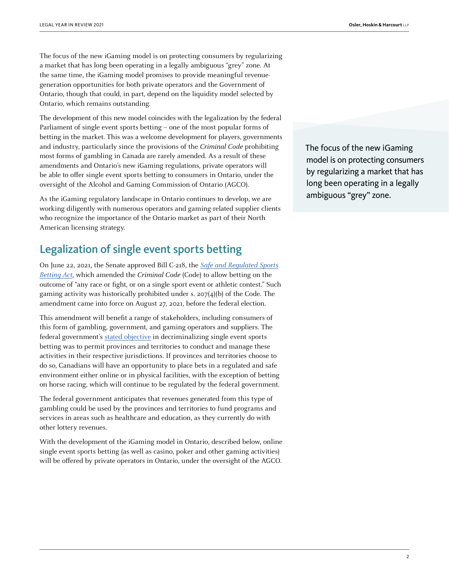The focus of the new iGaming model is on protecting consumers by regularizing a market that has long been operating in a legally ambiguous "grey" zone. At the same time, the iGaming model promises to provide meaningful revenuegeneration opportunities for both private operators and the Government of Ontario, though that could, in part, depend on the liquidity model selected by Ontario, which remains outstanding.

The development of this new model coincides with the legalization by the federal Parliament of single event sports betting – one of the most popular forms of betting in the market. This was a welcome development for players, governments and industry, particularly since the provisions of the Criminal Code prohibiting most forms of gambling in Canada are rarely amended. As a result of these amendments and Ontario's new iGaming regulations, private operators will be able to offer single event sports betting to consumers in Ontario, under the oversight of the Alcohol and Gaming Commission of Ontario (AGCO).

As the iGaming regulatory landscape in Ontario continues to develop, we are working diligently with numerous operators and gaming-related supplier clients who recognize the importance of the Ontario market as part of their North American licensing strategy.

## Legalization of single event sports betting

On June 22, 2021, the Senate approved Bill C-218, the [Safe and Regulated Sports](https://www.parl.ca/LegisInfo/en/bill/43-2/C-218) [Betting Act](https://www.parl.ca/LegisInfo/en/bill/43-2/C-218), which amended the Criminal Code (Code) to allow betting on the outcome of "any race or fight, or on a single sport event or athletic contest." Such gaming activity was historically prohibited under s. 207(4)(b) of the Code. The amendment came into force on August 27, 2021, before the federal election.

This amendment will benefit a range of stakeholders, including consumers of this form of gambling, government, and gaming operators and suppliers. The federal government's [stated objective](https://www.canada.ca/en/department-justice/news/2021/08/government-of-canada-announces-coming-into-force-date-of-criminal-codeamendments-on-single-event-sport-betting.html) in decriminalizing single event sports betting was to permit provinces and territories to conduct and manage these activities in their respective jurisdictions. If provinces and territories choose to do so, Canadians will have an opportunity to place bets in a regulated and safe environment either online or in physical facilities, with the exception of betting on horse racing, which will continue to be regulated by the federal government.

The federal government anticipates that revenues generated from this type of gambling could be used by the provinces and territories to fund programs and services in areas such as healthcare and education, as they currently do with other lottery revenues.

With the development of the iGaming model in Ontario, described below, online single event sports betting (as well as casino, poker and other gaming activities) will be offered by private operators in Ontario, under the oversight of the AGCO. The focus of the new iGaming model is on protecting consumers by regularizing a market that has long been operating in a legally ambiguous "grey" zone.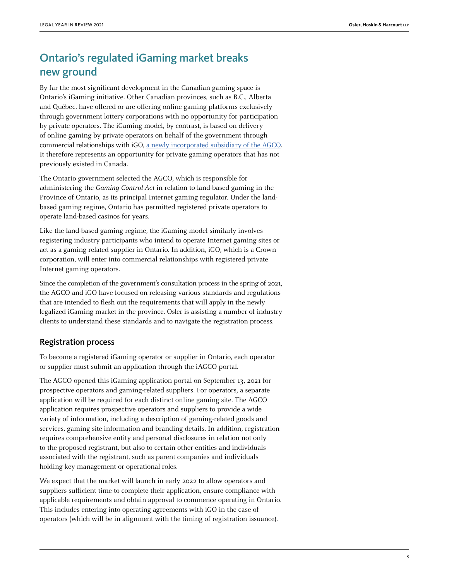## Ontario's regulated iGaming market breaks new ground

By far the most significant development in the Canadian gaming space is Ontario's iGaming initiative. Other Canadian provinces, such as B.C., Alberta and Québec, have offered or are offering online gaming platforms exclusively through government lottery corporations with no opportunity for participation by private operators. The iGaming model, by contrast, is based on delivery of online gaming by private operators on behalf of the government through commercial relationships with iGO, [a newly incorporated subsidiary of the AGCO](https://www.ontario.ca/laws/regulation/210517). It therefore represents an opportunity for private gaming operators that has not previously existed in Canada.

The Ontario government selected the AGCO, which is responsible for administering the Gaming Control Act in relation to land-based gaming in the Province of Ontario, as its principal Internet gaming regulator. Under the landbased gaming regime, Ontario has permitted registered private operators to operate land-based casinos for years.

Like the land-based gaming regime, the iGaming model similarly involves registering industry participants who intend to operate Internet gaming sites or act as a gaming-related supplier in Ontario. In addition, iGO, which is a Crown corporation, will enter into commercial relationships with registered private Internet gaming operators.

Since the completion of the government's consultation process in the spring of 2021, the AGCO and iGO have focused on releasing various standards and regulations that are intended to flesh out the requirements that will apply in the newly legalized iGaming market in the province. Osler is assisting a number of industry clients to understand these standards and to navigate the registration process.

#### Registration process

To become a registered iGaming operator or supplier in Ontario, each operator or supplier must submit an application through the iAGCO portal.

The AGCO opened this iGaming application portal on September 13, 2021 for prospective operators and gaming-related suppliers. For operators, a separate application will be required for each distinct online gaming site. The AGCO application requires prospective operators and suppliers to provide a wide variety of information, including a description of gaming-related goods and services, gaming site information and branding details. In addition, registration requires comprehensive entity and personal disclosures in relation not only to the proposed registrant, but also to certain other entities and individuals associated with the registrant, such as parent companies and individuals holding key management or operational roles.

We expect that the market will launch in early 2022 to allow operators and suppliers sufficient time to complete their application, ensure compliance with applicable requirements and obtain approval to commence operating in Ontario. This includes entering into operating agreements with iGO in the case of operators (which will be in alignment with the timing of registration issuance).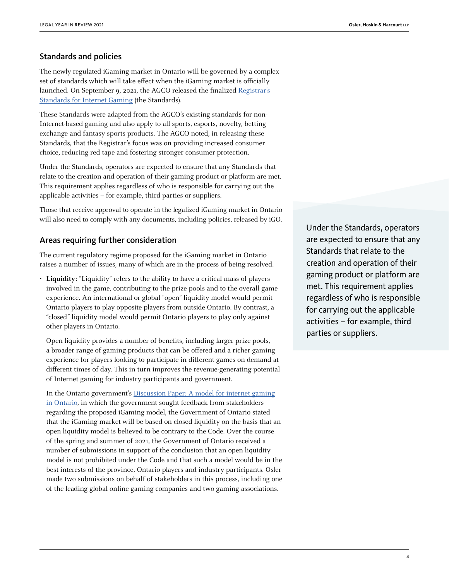### Standards and policies

The newly regulated iGaming market in Ontario will be governed by a complex set of standards which will take effect when the iGaming market is officially launched. On September 9, 2021, the AGCO released the finalized [Registrar's](https://www.agco.ca/lottery-and-gaming/registrars-standards-gaming) [Standards for Internet Gaming](https://www.agco.ca/lottery-and-gaming/registrars-standards-gaming) (the Standards).

These Standards were adapted from the AGCO's existing standards for non-Internet-based gaming and also apply to all sports, esports, novelty, betting exchange and fantasy sports products. The AGCO noted, in releasing these Standards, that the Registrar's focus was on providing increased consumer choice, reducing red tape and fostering stronger consumer protection.

Under the Standards, operators are expected to ensure that any Standards that relate to the creation and operation of their gaming product or platform are met. This requirement applies regardless of who is responsible for carrying out the applicable activities – for example, third parties or suppliers.

Those that receive approval to operate in the legalized iGaming market in Ontario will also need to comply with any documents, including policies, released by iGO.

#### Areas requiring further consideration

The current regulatory regime proposed for the iGaming market in Ontario raises a number of issues, many of which are in the process of being resolved.

• **Liquidity:** "Liquidity" refers to the ability to have a critical mass of players involved in the game, contributing to the prize pools and to the overall game experience. An international or global "open" liquidity model would permit Ontario players to play opposite players from outside Ontario. By contrast, a "closed" liquidity model would permit Ontario players to play only against other players in Ontario.

Open liquidity provides a number of benefits, including larger prize pools, a broader range of gaming products that can be offered and a richer gaming experience for players looking to participate in different games on demand at different times of day. This in turn improves the revenue-generating potential of Internet gaming for industry participants and government.

In the Ontario government's [Discussion Paper: A model for internet gaming](https://www.ontario.ca/page/discussion-paper-model-internet-gaming-ontario) [in Ontario,](https://www.ontario.ca/page/discussion-paper-model-internet-gaming-ontario) in which the government sought feedback from stakeholders regarding the proposed iGaming model, the Government of Ontario stated that the iGaming market will be based on closed liquidity on the basis that an open liquidity model is believed to be contrary to the Code. Over the course of the spring and summer of 2021, the Government of Ontario received a number of submissions in support of the conclusion that an open liquidity model is not prohibited under the Code and that such a model would be in the best interests of the province, Ontario players and industry participants. Osler made two submissions on behalf of stakeholders in this process, including one of the leading global online gaming companies and two gaming associations.

Under the Standards, operators are expected to ensure that any Standards that relate to the creation and operation of their gaming product or platform are met. This requirement applies regardless of who is responsible for carrying out the applicable activities – for example, third parties or suppliers.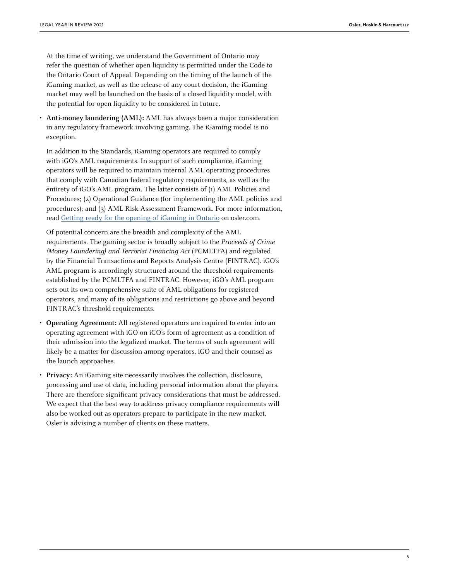At the time of writing, we understand the Government of Ontario may refer the question of whether open liquidity is permitted under the Code to the Ontario Court of Appeal. Depending on the timing of the launch of the iGaming market, as well as the release of any court decision, the iGaming market may well be launched on the basis of a closed liquidity model, with the potential for open liquidity to be considered in future.

• **Anti-money laundering (AML):** AML has always been a major consideration in any regulatory framework involving gaming. The iGaming model is no exception.

In addition to the Standards, iGaming operators are required to comply with iGO's AML requirements. In support of such compliance, iGaming operators will be required to maintain internal AML operating procedures that comply with Canadian federal regulatory requirements, as well as the entirety of iGO's AML program. The latter consists of (1) AML Policies and Procedures; (2) Operational Guidance (for implementing the AML policies and procedures); and (3) AML Risk Assessment Framework. For more information, read [Getting ready for the opening of iGaming in Ontario](https://www.osler.com/en/resources/regulations/2021/getting-ready-for-the-opening-of-igaming-in-ontario) on osler.com.

Of potential concern are the breadth and complexity of the AML requirements. The gaming sector is broadly subject to the Proceeds of Crime (Money Laundering) and Terrorist Financing Act (PCMLTFA) and regulated by the Financial Transactions and Reports Analysis Centre (FINTRAC). iGO's AML program is accordingly structured around the threshold requirements established by the PCMLTFA and FINTRAC. However, iGO's AML program sets out its own comprehensive suite of AML obligations for registered operators, and many of its obligations and restrictions go above and beyond FINTRAC's threshold requirements.

- **Operating Agreement:** All registered operators are required to enter into an operating agreement with iGO on iGO's form of agreement as a condition of their admission into the legalized market. The terms of such agreement will likely be a matter for discussion among operators, iGO and their counsel as the launch approaches.
- **Privacy:** An iGaming site necessarily involves the collection, disclosure, processing and use of data, including personal information about the players. There are therefore significant privacy considerations that must be addressed. We expect that the best way to address privacy compliance requirements will also be worked out as operators prepare to participate in the new market. Osler is advising a number of clients on these matters.